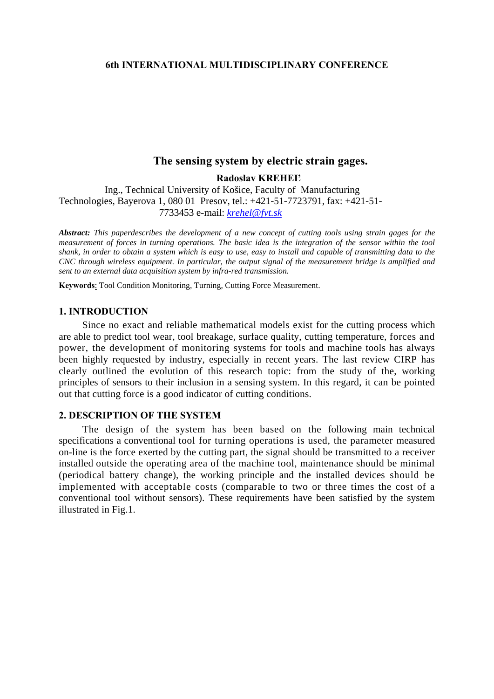### **6th INTERNATIONAL MULTIDISCIPLINARY CONFERENCE**

# **The sensing system by electric strain gages.**

**Radoslav KREHEĽ** 

Ing., Technical University of Košice, Faculty of Manufacturing Technologies, Bayerova 1, 080 01 Presov, tel.: +421-51-7723791, fax: +421-51- 7733453 e-mail: *[krehel@fvt.sk](mailto:krehel@fvt.sk)*

*Abstract: This paperdescribes the development of a new concept of cutting tools using strain gages for the measurement of forces in turning operations. The basic idea is the integration of the sensor within the tool shank, in order to obtain a system which is easy to use, easy to install and capable of transmitting data to the CNC through wireless equipment. In particular, the output signal of the measurement bridge is amplified and sent to an external data acquisition system by infra-red transmission.* 

**Keywords**: Tool Condition Monitoring, Turning, Cutting Force Measurement.

### **1. INTRODUCTION**

Since no exact and reliable mathematical models exist for the cutting process which are able to predict tool wear, tool breakage, surface quality, cutting temperature, forces and power, the development of monitoring systems for tools and machine tools has always been highly requested by industry, especially in recent years. The last review CIRP has clearly outlined the evolution of this research topic: from the study of the, working principles of sensors to their inclusion in a sensing system. In this regard, it can be pointed out that cutting force is a good indicator of cutting conditions.

### **2. DESCRIPTION OF THE SYSTEM**

The design of the system has been based on the following main technical specifications a conventional tool for turning operations is used, the parameter measured on-line is the force exerted by the cutting part, the signal should be transmitted to a receiver installed outside the operating area of the machine tool, maintenance should be minimal (periodical battery change), the working principle and the installed devices should be implemented with acceptable costs (comparable to two or three times the cost of a conventional tool without sensors). These requirements have been satisfied by the system illustrated in Fig.1.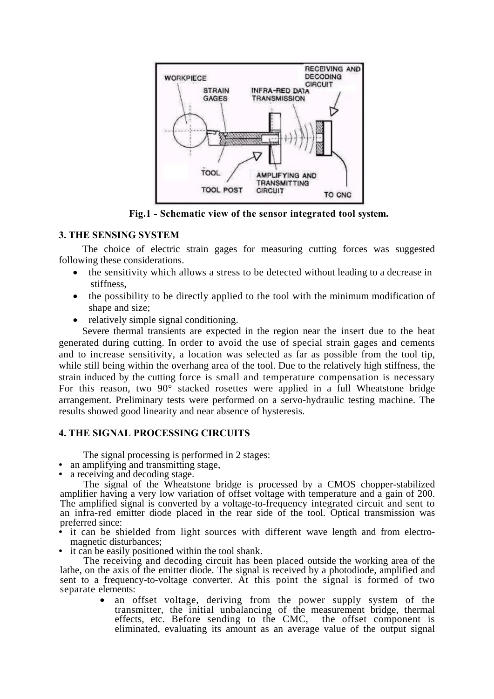

**Fig.1 - Schematic view of the sensor integrated tool system.** 

### **3. THE SENSING SYSTEM**

The choice of electric strain gages for measuring cutting forces was suggested following these considerations.

- the sensitivity which allows a stress to be detected without leading to a decrease in stiffness,
- the possibility to be directly applied to the tool with the minimum modification of shape and size;
- relatively simple signal conditioning.

Severe thermal transients are expected in the region near the insert due to the heat generated during cutting. In order to avoid the use of special strain gages and cements and to increase sensitivity, a location was selected as far as possible from the tool tip, while still being within the overhang area of the tool. Due to the relatively high stiffness, the strain induced by the cutting force is small and temperature compensation is necessary For this reason, two 90° stacked rosettes were applied in a full Wheatstone bridge arrangement. Preliminary tests were performed on a servo-hydraulic testing machine. The results showed good linearity and near absence of hysteresis.

## **4. THE SIGNAL PROCESSING CIRCUITS**

The signal processing is performed in 2 stages:

- an amplifying and transmitting stage,
- a receiving and decoding stage.

The signal of the Wheatstone bridge is processed by a CMOS chopper-stabilized amplifier having a very low variation of offset voltage with temperature and a gain of 200. The amplified signal is converted by a voltage-to-frequency integrated circuit and sent to an infra-red emitter diode placed in the rear side of the tool. Optical transmission was preferred since:

- it can be shielded from light sources with different wave length and from electromagnetic disturbances;
- it can be easily positioned within the tool shank.

The receiving and decoding circuit has been placed outside the working area of the lathe, on the axis of the emitter diode. The signal is received by a photodiode, amplified and sent to a frequency-to-voltage converter. At this point the signal is formed of two separate elements:

> an offset voltage, deriving from the power supply system of the transmitter, the initial unbalancing of the measurement bridge, thermal effects, etc. Before sending to the CMC, the offset component is eliminated, evaluating its amount as an average value of the output signal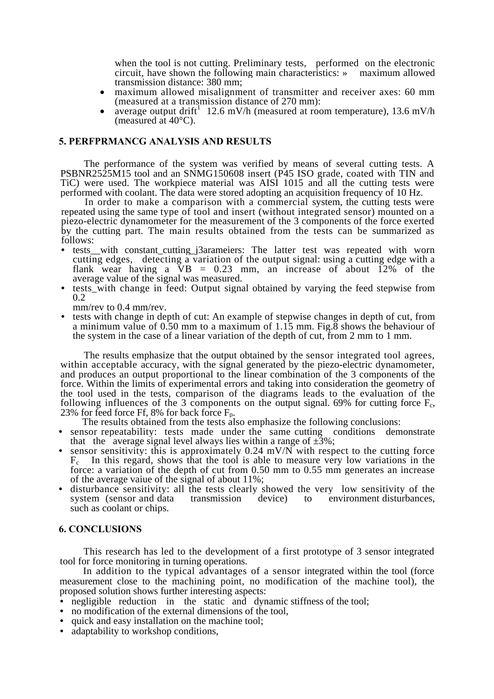when the tool is not cutting. Preliminary tests, performed on the electronic circuit, have shown the following main characteristics: » maximum allowed

- maximum allowed misalignment of transmitter and receiver axes: 60 mm (measured at a transmission distance of 270 mm):
- (measured at a transmission distance of 270 mm):<br>• average output drift<sup>1</sup> 12.6 mV/h (measured at room temperature), 13.6 mV/h (measured at 40°C).

### **5. PERFPRMANCG ANALYSIS AND RESULTS**

The performance of the system was verified by means of several cutting tests. A PSBNR2525M15 tool and an SNMG150608 insert (P45 ISO grade, coated with TIN and TiC) were used. The workpiece material was AISI 1015 and all the cutting tests were performed with coolant. The data were stored adopting an acquisition frequency of 10 Hz.

In order to make a comparison with a commercial system, the cutting tests were repeated using the same type of tool and insert (without integrated sensor) mounted on a piezo-electric dynamometer for the measurement of the 3 components of the force exerted by the cutting part. The main results obtained from the tests can be summarized as follows:

- tests with constant cutting j3arameiers: The latter test was repeated with worn cutting edges, detecting a variation of the output signal: using a cutting edge with a flank wear having a  $\overline{V}B = 0.23$  mm, an increase of about  $12\%$  of the average value of the signal was measured.
- tests with change in feed: Output signal obtained by varying the feed stepwise from 0.2
	- mm/rev to 0.4 mm/rev.
- tests with change in depth of cut: An example of stepwise changes in depth of cut, from a minimum value of 0.50 mm to a maximum of 1.15 mm. Fig.8 shows the behaviour of the system in the case of a linear variation of the depth of cut, from 2 mm to 1 mm.

The results emphasize that the output obtained by the sensor integrated tool agrees, within acceptable accuracy, with the signal generated by the piezo-electric dynamometer, and produces an output proportional to the linear combination of the 3 components of the force. Within the limits of experimental errors and taking into consideration the geometry of the tool used in the tests, comparison of the diagrams leads to the evaluation of the following influences of the 3 components on the output signal. 69% for cutting force F<sub>c</sub>, 23% for feed force Ff, 8% for back force F<sub>p</sub>. The results obtained from the tests also emphasize the following conclusions:

- sensor repeatability: tests made under the same cutting conditions demonstrate that the average signal level always lies within a range of  $\pm 3\%$ ;
- sensor sensitivity: this is approximately  $0.24$  mV/N with respect to the cutting force  $F_c$  In this regard, shows that the tool is able to measure very low variations in the force: a variation of the depth of cut from 0.50 mm to 0.55 mm generates an increase of the average vaiue of the signal of about 11%;
- disturbance sensitivity: all the tests clearly showed the very low sensitivity of the system (sensor and data transmission device) to environment disturbances, such as coolant or chips.

### **6. CONCLUSIONS**

This research has led to the development of a first prototype of 3 sensor integrated tool for force monitoring in turning operations.

In addition to the typical advantages of a sensor integrated within the tool (force measurement close to the machining point, no modification of the machine tool), the proposed solution shows further interesting aspects:

- negligible reduction in the static and dynamic stiffness of the tool;
- no modification of the external dimensions of the tool,
- quick and easy installation on the machine tool;
- adaptability to workshop conditions,